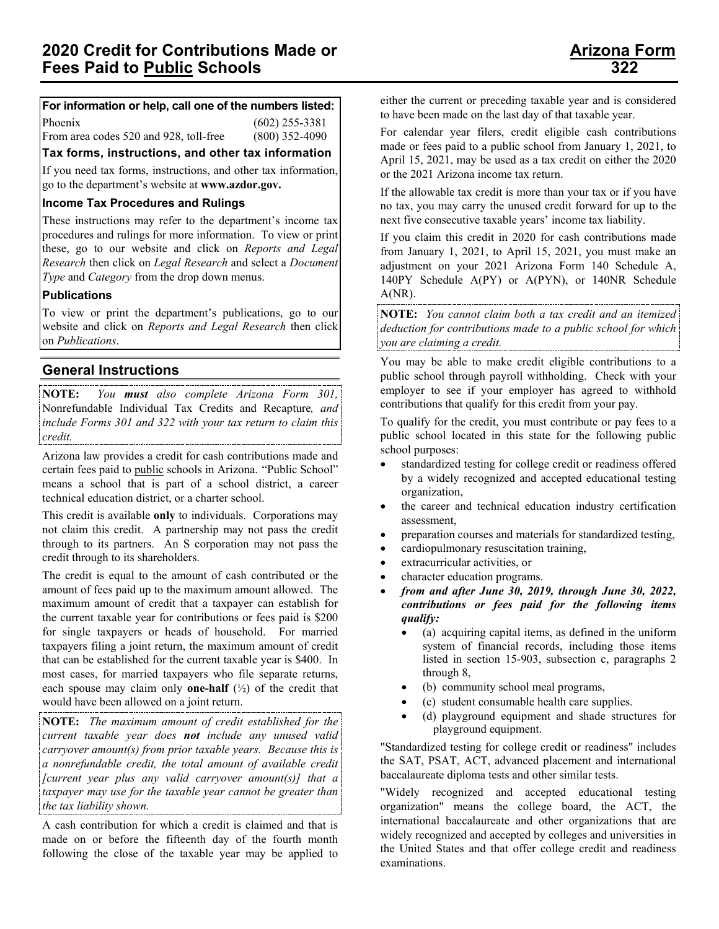## **For information or help, call one of the numbers listed:**

Phoenix (602) 255-3381 From area codes 520 and 928, toll-free (800) 352-4090

**Tax forms, instructions, and other tax information**

If you need tax forms, instructions, and other tax information, go to the department's website at **www.azdor.gov.**

### **Income Tax Procedures and Rulings**

These instructions may refer to the department's income tax procedures and rulings for more information. To view or print these, go to our website and click on *Reports and Legal Research* then click on *Legal Research* and select a *Document Type* and *Category* from the drop down menus.

### **Publications**

To view or print the department's publications, go to our website and click on *Reports and Legal Research* then click on *Publications*.

# **General Instructions**

**NOTE:** *You must also complete Arizona Form 301,*  Nonrefundable Individual Tax Credits and Recapture*, and include Forms 301 and 322 with your tax return to claim this credit.*

Arizona law provides a credit for cash contributions made and certain fees paid to public schools in Arizona. "Public School" means a school that is part of a school district, a career technical education district, or a charter school.

This credit is available **only** to individuals. Corporations may not claim this credit. A partnership may not pass the credit through to its partners. An S corporation may not pass the credit through to its shareholders.

The credit is equal to the amount of cash contributed or the amount of fees paid up to the maximum amount allowed. The maximum amount of credit that a taxpayer can establish for the current taxable year for contributions or fees paid is \$200 for single taxpayers or heads of household. For married taxpayers filing a joint return, the maximum amount of credit that can be established for the current taxable year is \$400. In most cases, for married taxpayers who file separate returns, each spouse may claim only **one-half** (½) of the credit that would have been allowed on a joint return.

**NOTE:** *The maximum amount of credit established for the current taxable year does not include any unused valid carryover amount(s) from prior taxable years. Because this is a nonrefundable credit, the total amount of available credit [current year plus any valid carryover amount(s)] that a taxpayer may use for the taxable year cannot be greater than the tax liability shown.*

A cash contribution for which a credit is claimed and that is made on or before the fifteenth day of the fourth month following the close of the taxable year may be applied to

either the current or preceding taxable year and is considered to have been made on the last day of that taxable year.

For calendar year filers, credit eligible cash contributions made or fees paid to a public school from January 1, 2021, to April 15, 2021, may be used as a tax credit on either the 2020 or the 2021 Arizona income tax return.

If the allowable tax credit is more than your tax or if you have no tax, you may carry the unused credit forward for up to the next five consecutive taxable years' income tax liability.

If you claim this credit in 2020 for cash contributions made from January 1, 2021, to April 15, 2021, you must make an adjustment on your 2021 Arizona Form 140 Schedule A, 140PY Schedule A(PY) or A(PYN), or 140NR Schedule A(NR).

**NOTE:** *You cannot claim both a tax credit and an itemized deduction for contributions made to a public school for which you are claiming a credit.*

You may be able to make credit eligible contributions to a public school through payroll withholding. Check with your employer to see if your employer has agreed to withhold contributions that qualify for this credit from your pay.

To qualify for the credit, you must contribute or pay fees to a public school located in this state for the following public school purposes:

- standardized testing for college credit or readiness offered by a widely recognized and accepted educational testing organization,
- the career and technical education industry certification assessment,
- preparation courses and materials for standardized testing,
- cardiopulmonary resuscitation training,
- extracurricular activities, or
- character education programs.
- *from and after June 30, 2019, through June 30, 2022, contributions or fees paid for the following items qualify:*
	- (a) acquiring capital items, as defined in the uniform system of financial records, including those items listed in section 15-903, subsection c, paragraphs 2 through 8,
	- (b) community school meal programs,
	- (c) student consumable health care supplies.
	- (d) playground equipment and shade structures for playground equipment.

"Standardized testing for college credit or readiness" includes the SAT, PSAT, ACT, advanced placement and international baccalaureate diploma tests and other similar tests.

"Widely recognized and accepted educational testing organization" means the college board, the ACT, the international baccalaureate and other organizations that are widely recognized and accepted by colleges and universities in the United States and that offer college credit and readiness examinations.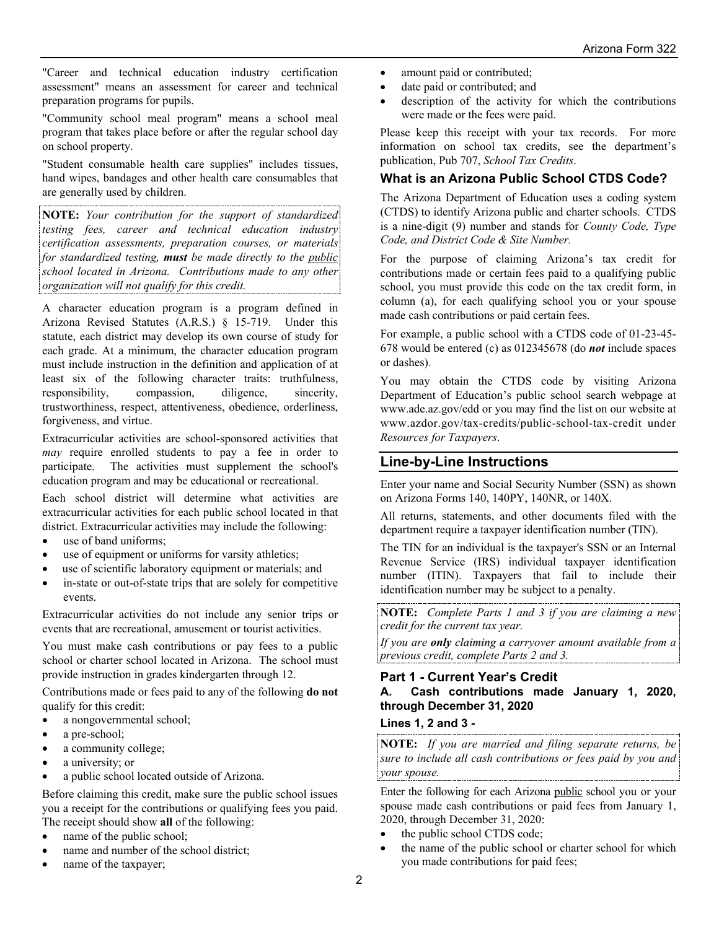"Career and technical education industry certification assessment" means an assessment for career and technical preparation programs for pupils.

"Community school meal program" means a school meal program that takes place before or after the regular school day on school property.

"Student consumable health care supplies" includes tissues, hand wipes, bandages and other health care consumables that are generally used by children.

**NOTE:** *Your contribution for the support of standardized testing fees, career and technical education industry certification assessments, preparation courses, or materials for standardized testing, must be made directly to the public school located in Arizona. Contributions made to any other organization will not qualify for this credit.*

A character education program is a program defined in Arizona Revised Statutes (A.R.S.) § 15-719. Under this statute, each district may develop its own course of study for each grade. At a minimum, the character education program must include instruction in the definition and application of at least six of the following character traits: truthfulness, responsibility, compassion, diligence, sincerity, trustworthiness, respect, attentiveness, obedience, orderliness, forgiveness, and virtue.

Extracurricular activities are school-sponsored activities that *may* require enrolled students to pay a fee in order to participate. The activities must supplement the school's education program and may be educational or recreational.

Each school district will determine what activities are extracurricular activities for each public school located in that district. Extracurricular activities may include the following:

- use of band uniforms;
- use of equipment or uniforms for varsity athletics;
- use of scientific laboratory equipment or materials; and
- in-state or out-of-state trips that are solely for competitive events.

Extracurricular activities do not include any senior trips or events that are recreational, amusement or tourist activities.

You must make cash contributions or pay fees to a public school or charter school located in Arizona. The school must provide instruction in grades kindergarten through 12.

Contributions made or fees paid to any of the following **do not** qualify for this credit:

- a nongovernmental school;
- a pre-school;
- a community college;
- a university; or
- a public school located outside of Arizona.

Before claiming this credit, make sure the public school issues you a receipt for the contributions or qualifying fees you paid. The receipt should show **all** of the following:

- name of the public school:
- name and number of the school district;
- name of the taxpayer;
- amount paid or contributed;
- date paid or contributed; and
- description of the activity for which the contributions were made or the fees were paid.

Please keep this receipt with your tax records. For more information on school tax credits, see the department's publication, Pub 707, *School Tax Credits*.

## **What is an Arizona Public School CTDS Code?**

The Arizona Department of Education uses a coding system (CTDS) to identify Arizona public and charter schools. CTDS is a nine-digit (9) number and stands for *County Code, Type Code, and District Code & Site Number.* 

For the purpose of claiming Arizona's tax credit for contributions made or certain fees paid to a qualifying public school, you must provide this code on the tax credit form, in column (a), for each qualifying school you or your spouse made cash contributions or paid certain fees.

For example, a public school with a CTDS code of 01-23-45- 678 would be entered (c) as 012345678 (do *not* include spaces or dashes).

You may obtain the CTDS code by visiting Arizona Department of Education's public school search webpage at www.ade.az.gov/edd or you may find the list on our website at www.azdor.gov/tax-credits/public-school-tax-credit under *Resources for Taxpayers*.

## **Line-by-Line Instructions**

Enter your name and Social Security Number (SSN) as shown on Arizona Forms 140, 140PY, 140NR, or 140X.

All returns, statements, and other documents filed with the department require a taxpayer identification number (TIN).

The TIN for an individual is the taxpayer's SSN or an Internal Revenue Service (IRS) individual taxpayer identification number (ITIN). Taxpayers that fail to include their identification number may be subject to a penalty.

**NOTE:** *Complete Parts 1 and 3 if you are claiming a new credit for the current tax year.*

*If you are only claiming a carryover amount available from a previous credit, complete Parts 2 and 3.*

## **Part 1 - Current Year's Credit A. Cash contributions made January 1, 2020, through December 31, 2020**

### **Lines 1, 2 and 3 -**

**NOTE:** *If you are married and filing separate returns, be sure to include all cash contributions or fees paid by you and your spouse.* 

Enter the following for each Arizona public school you or your spouse made cash contributions or paid fees from January 1, 2020, through December 31, 2020:

- the public school CTDS code;
- the name of the public school or charter school for which you made contributions for paid fees;